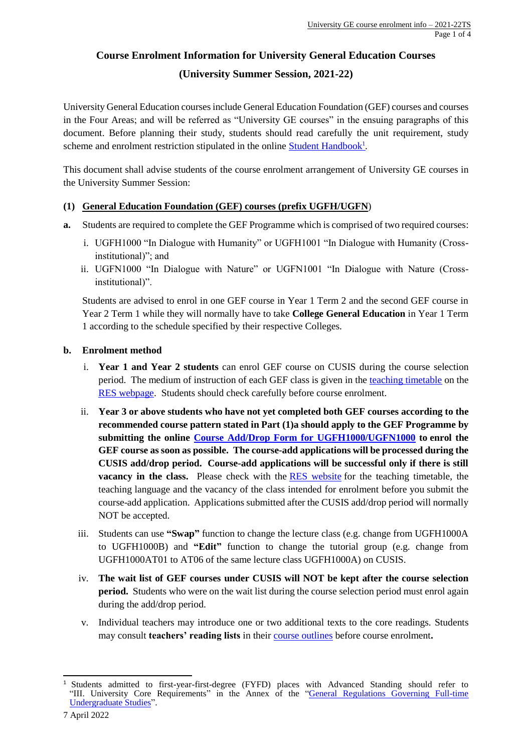# **Course Enrolment Information for University General Education Courses (University Summer Session, 2021-22)**

University General Education courses include General Education Foundation (GEF) courses and courses in the Four Areas; and will be referred as "University GE courses" in the ensuing paragraphs of this document. Before planning their study, students should read carefully the unit requirement, study scheme and enrolment restriction stipulated in the online **Student Handbook**<sup>1</sup>.

This document shall advise students of the course enrolment arrangement of University GE courses in the University Summer Session:

# **(1) General Education Foundation (GEF) courses (prefix UGFH/UGFN**)

- **a.** Students are required to complete the GEF Programme which is comprised of two required courses:
	- i. UGFH1000 "In Dialogue with Humanity" or UGFH1001 "In Dialogue with Humanity (Crossinstitutional)"; and
	- ii. UGFN1000 "In Dialogue with Nature" or UGFN1001 "In Dialogue with Nature (Crossinstitutional)".

Students are advised to enrol in one GEF course in Year 1 Term 2 and the second GEF course in Year 2 Term 1 while they will normally have to take **College General Education** in Year 1 Term 1 according to the schedule specified by their respective Colleges.

# **b. Enrolment method**

- i. **Year 1 and Year 2 students** can enrol GEF course on CUSIS during the course selection period. The medium of instruction of each GEF class is given in th[e teaching timetable](http://rgsntl.rgs.cuhk.edu.hk/rws_prd_applx2/Public/tt_dsp_timetable.aspx) on the [RES webpage.](http://www.res.cuhk.edu.hk/en-gb/teaching-timetable-classroom-booking/teaching-timetable/full-time-undergraduate-teaching-timetable/useful-information/language-of-instruction) Students should check carefully before course enrolment.
- ii. **Year 3 or above students who have not yet completed both GEF courses according to the recommended course pattern stated in Part (1)a should apply to the GEF Programme by submitting the online [Course Add/Drop Form for UGFH1000/UGFN1000](https://cloud.itsc.cuhk.edu.hk/webform/view.php?id=10552390) to enrol the GEF course as soon as possible. The course-add applications will be processed during the CUSIS add/drop period. Course-add applications will be successful only if there is still vacancy in the class.** Please check with the [RES website](http://www.res.cuhk.edu.hk/en-gb/teaching-timetable-classroom-booking/teaching-timetable) for the teaching timetable, the teaching language and the vacancy of the class intended for enrolment before you submit the course-add application. Applications submitted after the CUSIS add/drop period will normally NOT be accepted.
- iii. Students can use **"Swap"** function to change the lecture class (e.g. change from UGFH1000A to UGFH1000B) and **"Edit"** function to change the tutorial group (e.g. change from UGFH1000AT01 to AT06 of the same lecture class UGFH1000A) on CUSIS.
- iv. **The wait list of GEF courses under CUSIS will NOT be kept after the course selection period.** Students who were on the wait list during the course selection period must enrol again during the add/drop period.
- v. Individual teachers may introduce one or two additional texts to the core readings. Students may consult **teachers' reading lists** in their [course outlines](https://www.oge.cuhk.edu.hk/index.php/en/teaching-a-learning/2011-07-04-07-07-54/course-outlines) before course enrolment**.**

<sup>&</sup>lt;sup>1</sup> Students admitted to first-year-first-degree (FYFD) places with Advanced Standing should refer to "III. University Core Requirements" in the Annex of the ["General Regulations Governing Full-time](http://rgsntl.rgs.cuhk.edu.hk/aqs_prd_applx/Public/Handbook/Default.aspx?id=1642&tv=T&lang=en)  [Undergraduate Studies"](http://rgsntl.rgs.cuhk.edu.hk/aqs_prd_applx/Public/Handbook/Default.aspx?id=1642&tv=T&lang=en).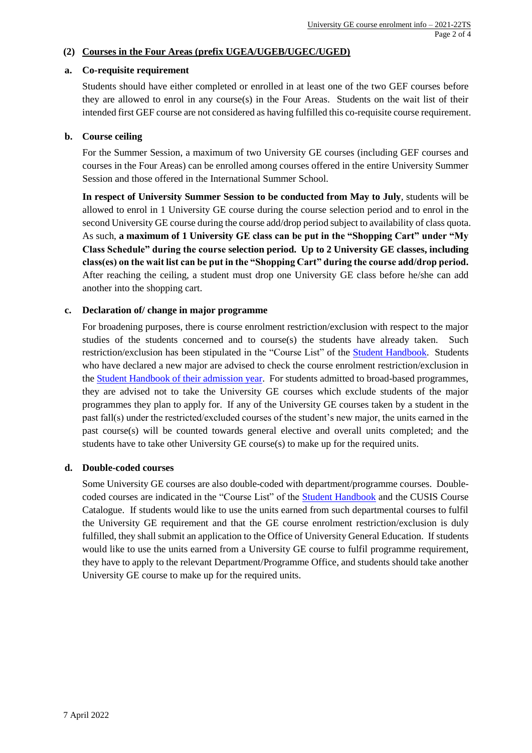# **(2) Courses in the Four Areas (prefix UGEA/UGEB/UGEC/UGED)**

#### **a. Co-requisite requirement**

Students should have either completed or enrolled in at least one of the two GEF courses before they are allowed to enrol in any course(s) in the Four Areas. Students on the wait list of their intended first GEF course are not considered as having fulfilled this co-requisite course requirement.

## **b. Course ceiling**

For the Summer Session, a maximum of two University GE courses (including GEF courses and courses in the Four Areas) can be enrolled among courses offered in the entire University Summer Session and those offered in the International Summer School.

**In respect of University Summer Session to be conducted from May to July**, students will be allowed to enrol in 1 University GE course during the course selection period and to enrol in the second University GE course during the course add/drop period subject to availability of class quota. As such, **a maximum of 1 University GE class can be put in the "Shopping Cart" under "My Class Schedule" during the course selection period. Up to 2 University GE classes, including class(es) on the wait list can be put in the "Shopping Cart" during the course add/drop period.**  After reaching the ceiling, a student must drop one University GE class before he/she can add another into the shopping cart.

## **c. Declaration of/ change in major programme**

For broadening purposes, there is course enrolment restriction/exclusion with respect to the major studies of the students concerned and to course(s) the students have already taken. Such restriction/exclusion has been stipulated in the "Course List" of the [Student Handbook.](http://rgsntl.rgs.cuhk.edu.hk/aqs_prd_applx/Public/Handbook/Default.aspx?id=2&lang=en) Students who have declared a new major are advised to check the course enrolment restriction/exclusion in the [Student Handbook of their admission year.](http://rgsntl.rgs.cuhk.edu.hk/aqs_prd_applx/Public/Handbook/Default.aspx?id=1901&tv=F&lang=en) For students admitted to broad-based programmes, they are advised not to take the University GE courses which exclude students of the major programmes they plan to apply for. If any of the University GE courses taken by a student in the past fall(s) under the restricted/excluded courses of the student's new major, the units earned in the past course(s) will be counted towards general elective and overall units completed; and the students have to take other University GE course(s) to make up for the required units.

#### **d. Double-coded courses**

Some University GE courses are also double-coded with department/programme courses. Doublecoded courses are indicated in the "Course List" of the [Student Handbook](http://rgsntl.rgs.cuhk.edu.hk/aqs_prd_applx/Public/Handbook/Default.aspx?id=2&lang=en) and the CUSIS Course Catalogue. If students would like to use the units earned from such departmental courses to fulfil the University GE requirement and that the GE course enrolment restriction/exclusion is duly fulfilled, they shall submit an application to the Office of University General Education. If students would like to use the units earned from a University GE course to fulfil programme requirement, they have to apply to the relevant Department/Programme Office, and students should take another University GE course to make up for the required units.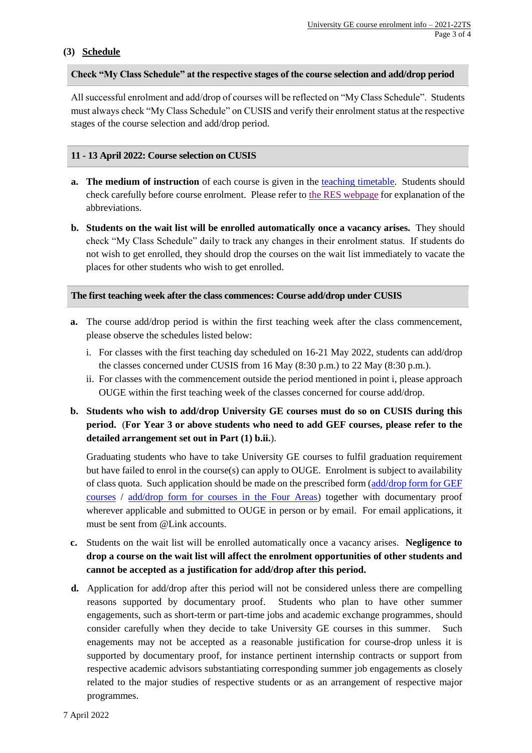# **(3) Schedule**

## **Check "My Class Schedule" at the respective stages of the course selection and add/drop period**

All successful enrolment and add/drop of courses will be reflected on "My Class Schedule". Students must always check "My Class Schedule" on CUSIS and verify their enrolment status at the respective stages of the course selection and add/drop period.

## **11 - 13 April 2022: Course selection on CUSIS**

- **a. The medium of instruction** of each course is given in the [teaching timetable.](http://rgsntl.rgs.cuhk.edu.hk/rws_prd_applx2/Public/tt_dsp_timetable.aspx) Students should check carefully before course enrolment. Please refer to [the RES webpage](http://www.res.cuhk.edu.hk/en-gb/teaching-timetable-classroom-booking/teaching-timetable/full-time-undergraduate-teaching-timetable/useful-information/language-of-instruction) for explanation of the abbreviations.
- **b. Students on the wait list will be enrolled automatically once a vacancy arises.** They should check "My Class Schedule" daily to track any changes in their enrolment status. If students do not wish to get enrolled, they should drop the courses on the wait list immediately to vacate the places for other students who wish to get enrolled.

## **The first teaching week after the class commences: Course add/drop under CUSIS**

- **a.** The course add/drop period is within the first teaching week after the class commencement, please observe the schedules listed below:
	- i. For classes with the first teaching day scheduled on 16-21 May 2022, students can add/drop the classes concerned under CUSIS from 16 May (8:30 p.m.) to 22 May (8:30 p.m.).
	- ii. For classes with the commencement outside the period mentioned in point i, please approach OUGE within the first teaching week of the classes concerned for course add/drop.
- **b. Students who wish to add/drop University GE courses must do so on CUSIS during this period.** (**For Year 3 or above students who need to add GEF courses, please refer to the detailed arrangement set out in Part (1) b.ii.**).

Graduating students who have to take University GE courses to fulfil graduation requirement but have failed to enrol in the course(s) can apply to OUGE. Enrolment is subject to availability of class quota. Such application should be made on the prescribed form [\(add/drop form for GEF](https://cloud.itsc.cuhk.edu.hk/webform/view.php?id=10552390)  [courses](https://cloud.itsc.cuhk.edu.hk/webform/view.php?id=10552390) / [add/drop form for courses in the Four Areas\)](http://www.oge.cuhk.edu.hk/oge_media/uge/OGE_Doc/forms_download_student/4-area_course_add-drop_form.doc) together with documentary proof wherever applicable and submitted to OUGE in person or by email. For email applications, it must be sent from @Link accounts.

- **c.** Students on the wait list will be enrolled automatically once a vacancy arises. **Negligence to drop a course on the wait list will affect the enrolment opportunities of other students and cannot be accepted as a justification for add/drop after this period.**
- **d.** Application for add/drop after this period will not be considered unless there are compelling reasons supported by documentary proof. Students who plan to have other summer engagements, such as short-term or part-time jobs and academic exchange programmes, should consider carefully when they decide to take University GE courses in this summer. Such enagements may not be accepted as a reasonable justification for course-drop unless it is supported by documentary proof, for instance pertinent internship contracts or support from respective academic advisors substantiating corresponding summer job engagements as closely related to the major studies of respective students or as an arrangement of respective major programmes.